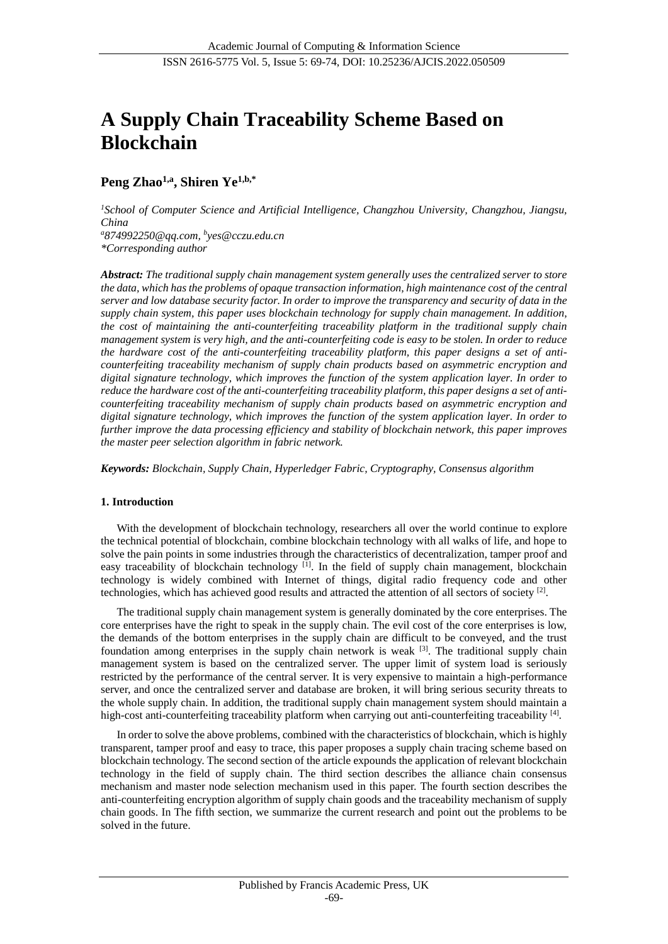# **A Supply Chain Traceability Scheme Based on Blockchain**

# **Peng Zhao1,a , Shiren Ye1,b,\***

*<sup>1</sup>School of Computer Science and Artificial Intelligence, Changzhou University, Changzhou, Jiangsu, China <sup>a</sup>874992250@qq.com, b yes@cczu.edu.cn \*Corresponding author*

*Abstract: The traditional supply chain management system generally uses the centralized server to store the data, which has the problems of opaque transaction information, high maintenance cost of the central server and low database security factor. In order to improve the transparency and security of data in the supply chain system, this paper uses blockchain technology for supply chain management. In addition, the cost of maintaining the anti-counterfeiting traceability platform in the traditional supply chain management system is very high, and the anti-counterfeiting code is easy to be stolen. In order to reduce the hardware cost of the anti-counterfeiting traceability platform, this paper designs a set of anticounterfeiting traceability mechanism of supply chain products based on asymmetric encryption and digital signature technology, which improves the function of the system application layer. In order to reduce the hardware cost of the anti-counterfeiting traceability platform, this paper designs a set of anticounterfeiting traceability mechanism of supply chain products based on asymmetric encryption and digital signature technology, which improves the function of the system application layer. In order to further improve the data processing efficiency and stability of blockchain network, this paper improves the master peer selection algorithm in fabric network.*

*Keywords: Blockchain, Supply Chain, Hyperledger Fabric, Cryptography, Consensus algorithm*

# **1. Introduction**

With the development of blockchain technology, researchers all over the world continue to explore the technical potential of blockchain, combine blockchain technology with all walks of life, and hope to solve the pain points in some industries through the characteristics of decentralization, tamper proof and easy traceability of blockchain technology <sup>[1]</sup>. In the field of supply chain management, blockchain technology is widely combined with Internet of things, digital radio frequency code and other technologies, which has achieved good results and attracted the attention of all sectors of society<sup>[2]</sup>.

The traditional supply chain management system is generally dominated by the core enterprises. The core enterprises have the right to speak in the supply chain. The evil cost of the core enterprises is low, the demands of the bottom enterprises in the supply chain are difficult to be conveyed, and the trust foundation among enterprises in the supply chain network is weak  $[3]$ . The traditional supply chain management system is based on the centralized server. The upper limit of system load is seriously restricted by the performance of the central server. It is very expensive to maintain a high-performance server, and once the centralized server and database are broken, it will bring serious security threats to the whole supply chain. In addition, the traditional supply chain management system should maintain a high-cost anti-counterfeiting traceability platform when carrying out anti-counterfeiting traceability [4].

In order to solve the above problems, combined with the characteristics of blockchain, which is highly transparent, tamper proof and easy to trace, this paper proposes a supply chain tracing scheme based on blockchain technology. The second section of the article expounds the application of relevant blockchain technology in the field of supply chain. The third section describes the alliance chain consensus mechanism and master node selection mechanism used in this paper. The fourth section describes the anti-counterfeiting encryption algorithm of supply chain goods and the traceability mechanism of supply chain goods. In The fifth section, we summarize the current research and point out the problems to be solved in the future.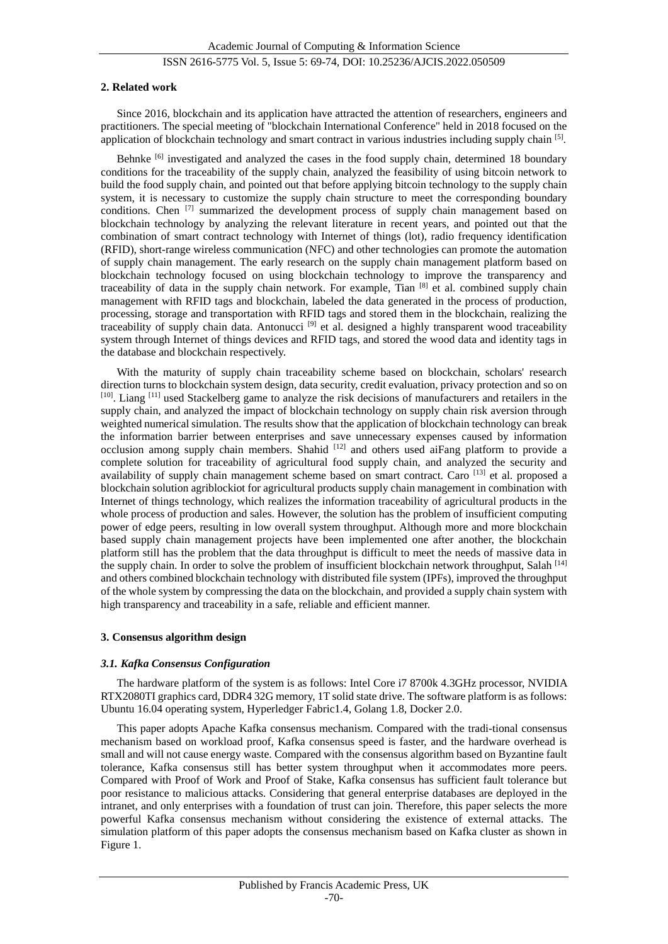#### **2. Related work**

Since 2016, blockchain and its application have attracted the attention of researchers, engineers and practitioners. The special meeting of "blockchain International Conference" held in 2018 focused on the application of blockchain technology and smart contract in various industries including supply chain [5].

Behnke <sup>[6]</sup> investigated and analyzed the cases in the food supply chain, determined 18 boundary conditions for the traceability of the supply chain, analyzed the feasibility of using bitcoin network to build the food supply chain, and pointed out that before applying bitcoin technology to the supply chain system, it is necessary to customize the supply chain structure to meet the corresponding boundary conditions. Chen  $[7]$  summarized the development process of supply chain management based on blockchain technology by analyzing the relevant literature in recent years, and pointed out that the combination of smart contract technology with Internet of things (lot), radio frequency identification (RFID), short-range wireless communication (NFC) and other technologies can promote the automation of supply chain management. The early research on the supply chain management platform based on blockchain technology focused on using blockchain technology to improve the transparency and traceability of data in the supply chain network. For example, Tian [8] et al. combined supply chain management with RFID tags and blockchain, labeled the data generated in the process of production, processing, storage and transportation with RFID tags and stored them in the blockchain, realizing the traceability of supply chain data. Antonucci<sup>[9]</sup> et al. designed a highly transparent wood traceability system through Internet of things devices and RFID tags, and stored the wood data and identity tags in the database and blockchain respectively.

With the maturity of supply chain traceability scheme based on blockchain, scholars' research direction turns to blockchain system design, data security, credit evaluation, privacy protection and so on [10]. Liang [11] used Stackelberg game to analyze the risk decisions of manufacturers and retailers in the supply chain, and analyzed the impact of blockchain technology on supply chain risk aversion through weighted numerical simulation. The results show that the application of blockchain technology can break the information barrier between enterprises and save unnecessary expenses caused by information occlusion among supply chain members. Shahid  $[12]$  and others used aiFang platform to provide a complete solution for traceability of agricultural food supply chain, and analyzed the security and availability of supply chain management scheme based on smart contract. Caro [13] et al. proposed a blockchain solution agriblockiot for agricultural products supply chain management in combination with Internet of things technology, which realizes the information traceability of agricultural products in the whole process of production and sales. However, the solution has the problem of insufficient computing power of edge peers, resulting in low overall system throughput. Although more and more blockchain based supply chain management projects have been implemented one after another, the blockchain platform still has the problem that the data throughput is difficult to meet the needs of massive data in the supply chain. In order to solve the problem of insufficient blockchain network throughput, Salah [14] and others combined blockchain technology with distributed file system (IPFs), improved the throughput of the whole system by compressing the data on the blockchain, and provided a supply chain system with high transparency and traceability in a safe, reliable and efficient manner.

#### **3. Consensus algorithm design**

#### *3.1. Kafka Consensus Configuration*

The hardware platform of the system is as follows: Intel Core i7 8700k 4.3GHz processor, NVIDIA RTX2080TI graphics card, DDR4 32G memory, 1T solid state drive. The software platform is as follows: Ubuntu 16.04 operating system, Hyperledger Fabric1.4, Golang 1.8, Docker 2.0.

This paper adopts Apache Kafka consensus mechanism. Compared with the tradi-tional consensus mechanism based on workload proof, Kafka consensus speed is faster, and the hardware overhead is small and will not cause energy waste. Compared with the consensus algorithm based on Byzantine fault tolerance, Kafka consensus still has better system throughput when it accommodates more peers. Compared with Proof of Work and Proof of Stake, Kafka consensus has sufficient fault tolerance but poor resistance to malicious attacks. Considering that general enterprise databases are deployed in the intranet, and only enterprises with a foundation of trust can join. Therefore, this paper selects the more powerful Kafka consensus mechanism without considering the existence of external attacks. The simulation platform of this paper adopts the consensus mechanism based on Kafka cluster as shown in Figure 1.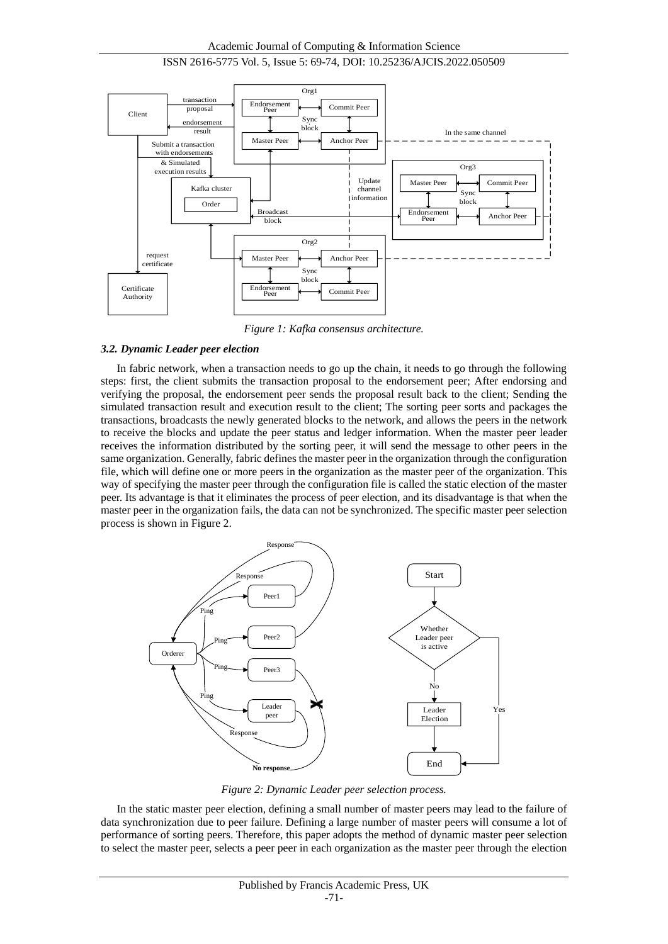



*Figure 1: Kafka consensus architecture.*

#### *3.2. Dynamic Leader peer election*

In fabric network, when a transaction needs to go up the chain, it needs to go through the following steps: first, the client submits the transaction proposal to the endorsement peer; After endorsing and verifying the proposal, the endorsement peer sends the proposal result back to the client; Sending the simulated transaction result and execution result to the client; The sorting peer sorts and packages the transactions, broadcasts the newly generated blocks to the network, and allows the peers in the network to receive the blocks and update the peer status and ledger information. When the master peer leader receives the information distributed by the sorting peer, it will send the message to other peers in the same organization. Generally, fabric defines the master peer in the organization through the configuration file, which will define one or more peers in the organization as the master peer of the organization. This way of specifying the master peer through the configuration file is called the static election of the master peer. Its advantage is that it eliminates the process of peer election, and its disadvantage is that when the master peer in the organization fails, the data can not be synchronized. The specific master peer selection process is shown in Figure 2.



*Figure 2: Dynamic Leader peer selection process.*

In the static master peer election, defining a small number of master peers may lead to the failure of data synchronization due to peer failure. Defining a large number of master peers will consume a lot of performance of sorting peers. Therefore, this paper adopts the method of dynamic master peer selection to select the master peer, selects a peer peer in each organization as the master peer through the election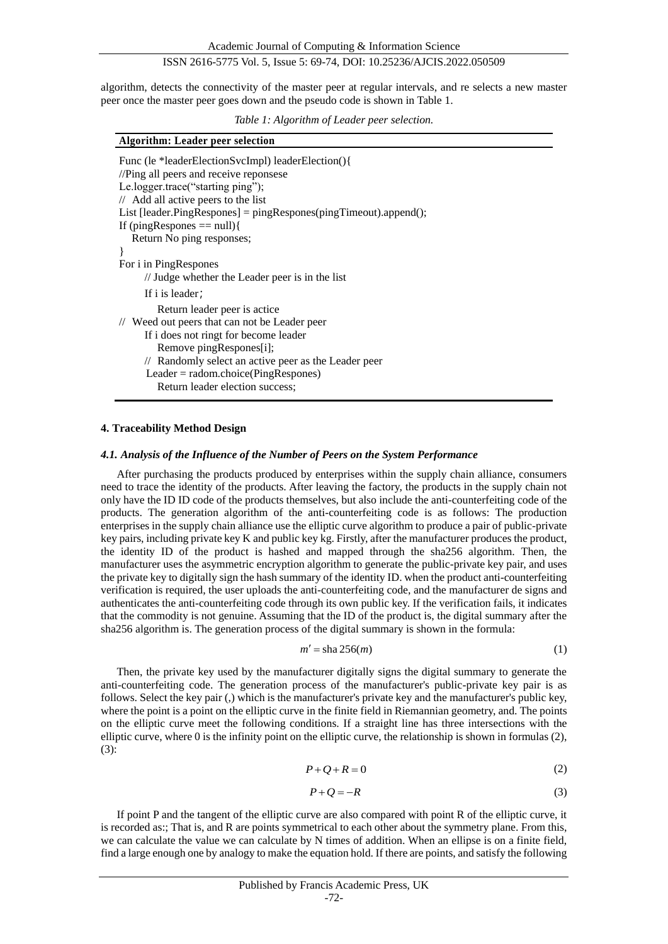algorithm, detects the connectivity of the master peer at regular intervals, and re selects a new master peer once the master peer goes down and the pseudo code is shown in Table 1.

*Table 1: Algorithm of Leader peer selection.*

| <b>Algorithm: Leader peer selection</b> |  |
|-----------------------------------------|--|
|-----------------------------------------|--|

| Func (le *leaderElectionSvcImpl) leaderElection(){<br>//Ping all peers and receive reponsese<br>Le.logger.trace("starting ping");<br>// Add all active peers to the list<br>List [leader.PingRespones] = pingRespones(pingTimeout).append();<br>If (ping Respones $==$ null) $\{$ |
|-----------------------------------------------------------------------------------------------------------------------------------------------------------------------------------------------------------------------------------------------------------------------------------|
| Return No ping responses;                                                                                                                                                                                                                                                         |
|                                                                                                                                                                                                                                                                                   |
| For i in PingRespones                                                                                                                                                                                                                                                             |
| // Judge whether the Leader peer is in the list                                                                                                                                                                                                                                   |
| If i is leader;                                                                                                                                                                                                                                                                   |
| Return leader peer is actice.                                                                                                                                                                                                                                                     |
| // Weed out peers that can not be Leader peer                                                                                                                                                                                                                                     |
| If i does not ringt for become leader                                                                                                                                                                                                                                             |
| Remove pingRespones[i];                                                                                                                                                                                                                                                           |
| // Randomly select an active peer as the Leader peer                                                                                                                                                                                                                              |
| $Leader = radom.choice(PingResponse)$                                                                                                                                                                                                                                             |
| Return leader election success:                                                                                                                                                                                                                                                   |

#### **4. Traceability Method Design**

#### *4.1. Analysis of the Influence of the Number of Peers on the System Performance*

After purchasing the products produced by enterprises within the supply chain alliance, consumers need to trace the identity of the products. After leaving the factory, the products in the supply chain not only have the ID ID code of the products themselves, but also include the anti-counterfeiting code of the products. The generation algorithm of the anti-counterfeiting code is as follows: The production enterprises in the supply chain alliance use the elliptic curve algorithm to produce a pair of public-private key pairs, including private key K and public key kg. Firstly, after the manufacturer produces the product, the identity ID of the product is hashed and mapped through the sha256 algorithm. Then, the manufacturer uses the asymmetric encryption algorithm to generate the public-private key pair, and uses the private key to digitally sign the hash summary of the identity ID. when the product anti-counterfeiting verification is required, the user uploads the anti-counterfeiting code, and the manufacturer de signs and authenticates the anti-counterfeiting code through its own public key. If the verification fails, it indicates that the commodity is not genuine. Assuming that the ID of the product is, the digital summary after the sha256 algorithm is. The generation process of the digital summary is shown in the formula:

$$
m' = \operatorname{sha} 256(m) \tag{1}
$$

Then, the private key used by the manufacturer digitally signs the digital summary to generate the anti-counterfeiting code. The generation process of the manufacturer's public-private key pair is as follows. Select the key pair (,) which is the manufacturer's private key and the manufacturer's public key, where the point is a point on the elliptic curve in the finite field in Riemannian geometry, and. The points on the elliptic curve meet the following conditions. If a straight line has three intersections with the elliptic curve, where 0 is the infinity point on the elliptic curve, the relationship is shown in formulas (2), (3):

$$
P + Q + R = 0\tag{2}
$$

$$
P + Q = -R \tag{3}
$$

If point P and the tangent of the elliptic curve are also compared with point R of the elliptic curve, it is recorded as:; That is, and R are points symmetrical to each other about the symmetry plane. From this, we can calculate the value we can calculate by N times of addition. When an ellipse is on a finite field, find a large enough one by analogy to make the equation hold. If there are points, and satisfy the following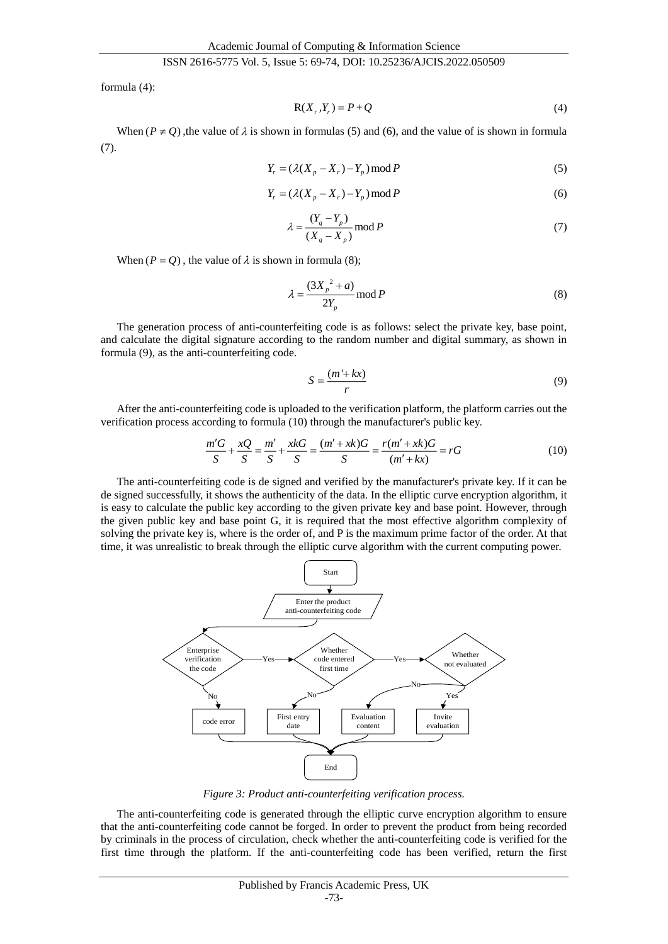formula (4):

$$
R(Xr, Yr) = P + Q \tag{4}
$$

When  $(P \neq Q)$ , the value of  $\lambda$  is shown in formulas (5) and (6), and the value of is shown in formula (7).

$$
Y_r = (\lambda (X_p - X_r) - Y_p) \operatorname{mod} P
$$
\n<sup>(5)</sup>

$$
Y_r = (\lambda (X_p - X_r) - Y_p) \operatorname{mod} P \tag{6}
$$

$$
\lambda = \frac{(Y_q - Y_p)}{(X_q - X_p)} \mod P \tag{7}
$$

When  $(P = Q)$ , the value of  $\lambda$  is shown in formula (8);

$$
\lambda = \frac{(3X_p^2 + a)}{2Y_p} \mod P \tag{8}
$$

The generation process of anti-counterfeiting code is as follows: select the private key, base point, and calculate the digital signature according to the random number and digital summary, as shown in formula (9), as the anti-counterfeiting code.

$$
S = \frac{(m' + kx)}{r} \tag{9}
$$

After the anti-counterfeiting code is uploaded to the verification platform, the platform carries out the verification process according to formula (10) through the manufacturer's public key.

$$
\frac{m'G}{S} + \frac{xQ}{S} = \frac{m'}{S} + \frac{xkG}{S} = \frac{(m'+xk)G}{S} = \frac{r(m'+xk)G}{(m'+kx)} = rG\tag{10}
$$

The anti-counterfeiting code is de signed and verified by the manufacturer's private key. If it can be de signed successfully, it shows the authenticity of the data. In the elliptic curve encryption algorithm, it is easy to calculate the public key according to the given private key and base point. However, through the given public key and base point G, it is required that the most effective algorithm complexity of solving the private key is, where is the order of, and P is the maximum prime factor of the order. At that time, it was unrealistic to break through the elliptic curve algorithm with the current computing power.



*Figure 3: Product anti-counterfeiting verification process.*

The anti-counterfeiting code is generated through the elliptic curve encryption algorithm to ensure that the anti-counterfeiting code cannot be forged. In order to prevent the product from being recorded by criminals in the process of circulation, check whether the anti-counterfeiting code is verified for the first time through the platform. If the anti-counterfeiting code has been verified, return the first